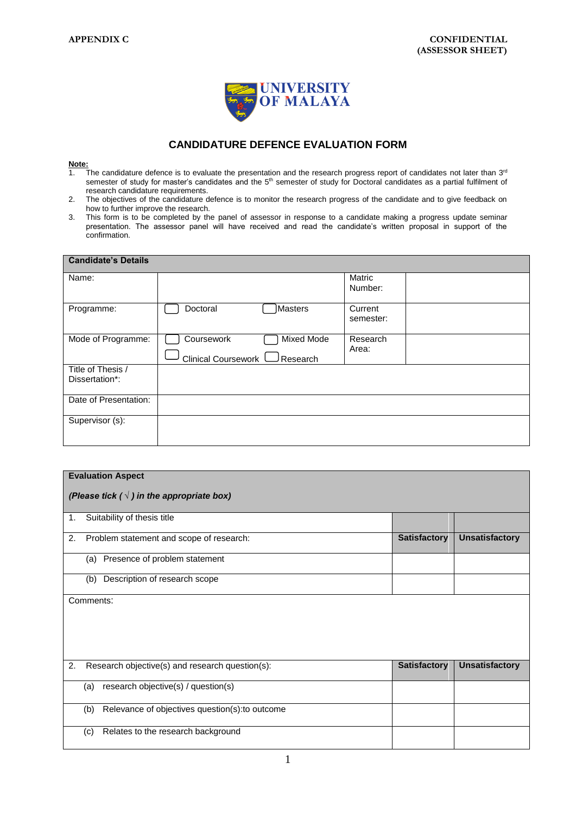

## **CANDIDATURE DEFENCE EVALUATION FORM**

## **Note:**

- 1. The candidature defence is to evaluate the presentation and the research progress report of candidates not later than  $3<sup>rd</sup>$ semester of study for master's candidates and the 5<sup>th</sup> semester of study for Doctoral candidates as a partial fulfilment of research candidature requirements.
- 2. The objectives of the candidature defence is to monitor the research progress of the candidate and to give feedback on how to further improve the research.
- 3. This form is to be completed by the panel of assessor in response to a candidate making a progress update seminar presentation. The assessor panel will have received and read the candidate's written proposal in support of the confirmation.

| <b>Candidate's Details</b>          |                                                             |                      |
|-------------------------------------|-------------------------------------------------------------|----------------------|
| Name:                               |                                                             | Matric<br>Number:    |
| Programme:                          | Masters<br>Doctoral                                         | Current<br>semester: |
| Mode of Programme:                  | Mixed Mode<br>Coursework<br>Clinical Coursework<br>Research | Research<br>Area:    |
| Title of Thesis /<br>Dissertation*: |                                                             |                      |
| Date of Presentation:               |                                                             |                      |
| Supervisor (s):                     |                                                             |                      |

| <b>Evaluation Aspect</b> |                                                        |                     |                       |  |  |
|--------------------------|--------------------------------------------------------|---------------------|-----------------------|--|--|
|                          |                                                        |                     |                       |  |  |
|                          | (Please tick ( $\sqrt{}$ ) in the appropriate box)     |                     |                       |  |  |
| 1.                       | Suitability of thesis title                            |                     |                       |  |  |
|                          |                                                        |                     |                       |  |  |
| 2.                       | Problem statement and scope of research:               | <b>Satisfactory</b> | <b>Unsatisfactory</b> |  |  |
|                          | (a) Presence of problem statement                      |                     |                       |  |  |
|                          | Description of research scope<br>(b)                   |                     |                       |  |  |
|                          | Comments:                                              |                     |                       |  |  |
|                          |                                                        |                     |                       |  |  |
|                          |                                                        |                     |                       |  |  |
|                          |                                                        |                     |                       |  |  |
|                          |                                                        |                     |                       |  |  |
| 2.                       | Research objective(s) and research question(s):        | <b>Satisfactory</b> | <b>Unsatisfactory</b> |  |  |
|                          |                                                        |                     |                       |  |  |
|                          | research objective(s) / question(s)<br>(a)             |                     |                       |  |  |
|                          |                                                        |                     |                       |  |  |
|                          | Relevance of objectives question(s): to outcome<br>(b) |                     |                       |  |  |
|                          | Relates to the research background<br>(c)              |                     |                       |  |  |
|                          |                                                        |                     |                       |  |  |
|                          |                                                        |                     |                       |  |  |